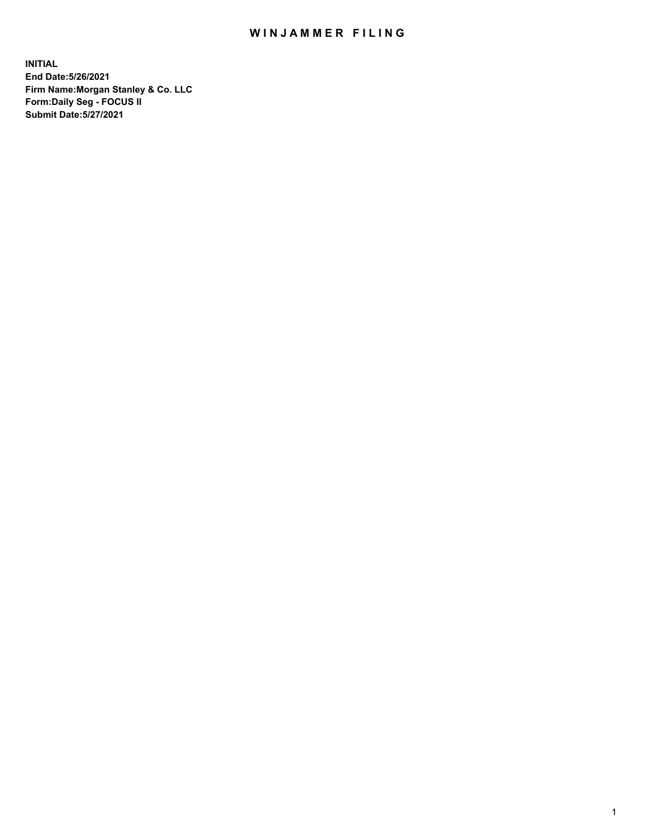## WIN JAMMER FILING

**INITIAL End Date:5/26/2021 Firm Name:Morgan Stanley & Co. LLC Form:Daily Seg - FOCUS II Submit Date:5/27/2021**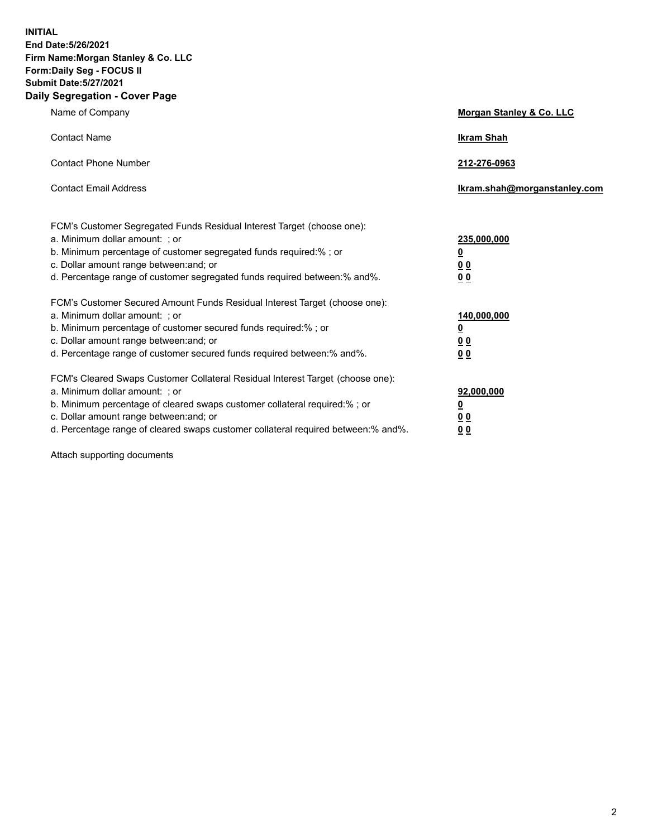**INITIAL End Date:5/26/2021 Firm Name:Morgan Stanley & Co. LLC Form:Daily Seg - FOCUS II Submit Date:5/27/2021 Daily Segregation - Cover Page**

| Name of Company                                                                                                                                                                                                                                                                                                                | <b>Morgan Stanley &amp; Co. LLC</b>                         |
|--------------------------------------------------------------------------------------------------------------------------------------------------------------------------------------------------------------------------------------------------------------------------------------------------------------------------------|-------------------------------------------------------------|
| <b>Contact Name</b>                                                                                                                                                                                                                                                                                                            | <b>Ikram Shah</b>                                           |
| <b>Contact Phone Number</b>                                                                                                                                                                                                                                                                                                    | 212-276-0963                                                |
| <b>Contact Email Address</b>                                                                                                                                                                                                                                                                                                   | Ikram.shah@morganstanley.com                                |
| FCM's Customer Segregated Funds Residual Interest Target (choose one):<br>a. Minimum dollar amount: ; or<br>b. Minimum percentage of customer segregated funds required:% ; or<br>c. Dollar amount range between: and; or<br>d. Percentage range of customer segregated funds required between:% and%.                         | 235,000,000<br><u>0</u><br>0 <sub>0</sub><br>0 <sub>0</sub> |
| FCM's Customer Secured Amount Funds Residual Interest Target (choose one):<br>a. Minimum dollar amount: ; or<br>b. Minimum percentage of customer secured funds required:%; or<br>c. Dollar amount range between: and; or<br>d. Percentage range of customer secured funds required between:% and%.                            | 140,000,000<br><u>0</u><br>0 <sub>0</sub><br>0 <sub>0</sub> |
| FCM's Cleared Swaps Customer Collateral Residual Interest Target (choose one):<br>a. Minimum dollar amount: ; or<br>b. Minimum percentage of cleared swaps customer collateral required:% ; or<br>c. Dollar amount range between: and; or<br>d. Percentage range of cleared swaps customer collateral required between:% and%. | 92,000,000<br><u>0</u><br><u>00</u><br>00                   |

Attach supporting documents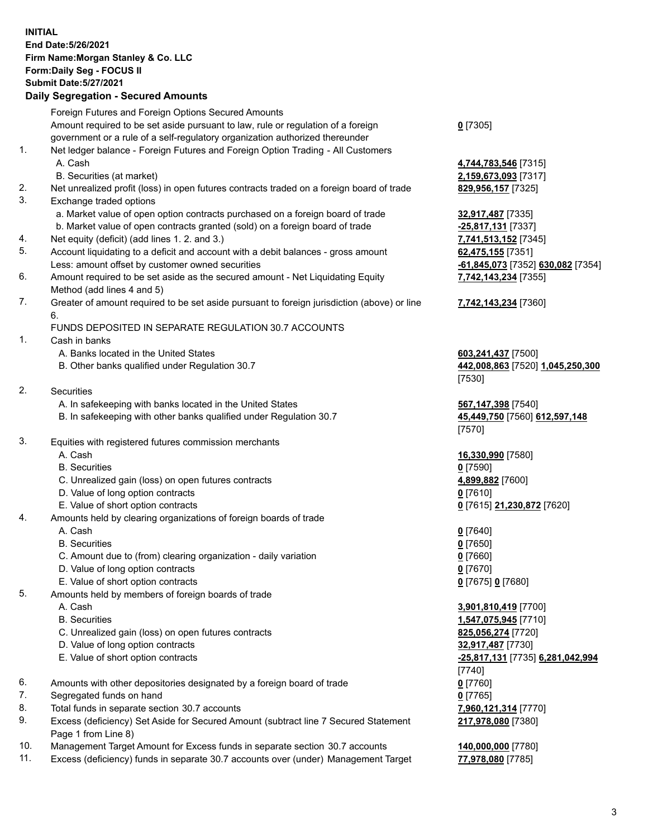## **INITIAL End Date:5/26/2021 Firm Name:Morgan Stanley & Co. LLC Form:Daily Seg - FOCUS II Submit Date:5/27/2021**

## **Daily Segregation - Secured Amounts**

|    | Foreign Futures and Foreign Options Secured Amounts                                         |                                   |
|----|---------------------------------------------------------------------------------------------|-----------------------------------|
|    | Amount required to be set aside pursuant to law, rule or regulation of a foreign            | $0$ [7305]                        |
|    | government or a rule of a self-regulatory organization authorized thereunder                |                                   |
| 1. | Net ledger balance - Foreign Futures and Foreign Option Trading - All Customers             |                                   |
|    | A. Cash                                                                                     | 4,744,783,546 [7315]              |
|    | B. Securities (at market)                                                                   | 2,159,673,093 [7317]              |
| 2. | Net unrealized profit (loss) in open futures contracts traded on a foreign board of trade   | 829,956,157 [7325]                |
| 3. | Exchange traded options                                                                     |                                   |
|    | a. Market value of open option contracts purchased on a foreign board of trade              | 32,917,487 [7335]                 |
|    | b. Market value of open contracts granted (sold) on a foreign board of trade                | -25,817,131 [7337]                |
| 4. | Net equity (deficit) (add lines 1. 2. and 3.)                                               | 7,741,513,152 [7345]              |
| 5. | Account liquidating to a deficit and account with a debit balances - gross amount           | 62,475,155 [7351]                 |
|    | Less: amount offset by customer owned securities                                            | -61,845,073 [7352] 630,082 [7354] |
| 6. | Amount required to be set aside as the secured amount - Net Liquidating Equity              | 7,742,143,234 [7355]              |
|    | Method (add lines 4 and 5)                                                                  |                                   |
| 7. | Greater of amount required to be set aside pursuant to foreign jurisdiction (above) or line | 7,742,143,234 [7360]              |
|    | 6.                                                                                          |                                   |
|    | FUNDS DEPOSITED IN SEPARATE REGULATION 30.7 ACCOUNTS                                        |                                   |
| 1. | Cash in banks                                                                               |                                   |
|    | A. Banks located in the United States                                                       | 603,241,437 [7500]                |
|    | B. Other banks qualified under Regulation 30.7                                              | 442,008,863 [7520] 1,045,250,300  |
|    |                                                                                             | [7530]                            |
| 2. | Securities                                                                                  |                                   |
|    | A. In safekeeping with banks located in the United States                                   | 567,147,398 [7540]                |
|    | B. In safekeeping with other banks qualified under Regulation 30.7                          | 45,449,750 [7560] 612,597,148     |
|    |                                                                                             | [7570]                            |
| 3. | Equities with registered futures commission merchants                                       |                                   |
|    | A. Cash                                                                                     | 16,330,990 [7580]                 |
|    | <b>B.</b> Securities                                                                        | $0$ [7590]                        |
|    | C. Unrealized gain (loss) on open futures contracts                                         | 4,899,882 [7600]                  |
|    | D. Value of long option contracts<br>E. Value of short option contracts                     | $0$ [7610]                        |
| 4. | Amounts held by clearing organizations of foreign boards of trade                           | 0 [7615] 21,230,872 [7620]        |
|    | A. Cash                                                                                     | $0$ [7640]                        |
|    | <b>B.</b> Securities                                                                        | $0$ [7650]                        |
|    | C. Amount due to (from) clearing organization - daily variation                             | $0$ [7660]                        |
|    | D. Value of long option contracts                                                           | $0$ [7670]                        |
|    | E. Value of short option contracts                                                          | 0 [7675] 0 [7680]                 |
| 5. | Amounts held by members of foreign boards of trade                                          |                                   |
|    | A. Cash                                                                                     | 3,901,810,419 [7700]              |
|    | <b>B.</b> Securities                                                                        | 1,547,075,945 [7710]              |
|    | C. Unrealized gain (loss) on open futures contracts                                         | 825,056,274 [7720]                |
|    | D. Value of long option contracts                                                           | 32,917,487 [7730]                 |
|    | E. Value of short option contracts                                                          | -25,817,131 [7735] 6,281,042,994  |
|    |                                                                                             | $[7740]$                          |
| 6. | Amounts with other depositories designated by a foreign board of trade                      | $0$ [7760]                        |
| 7. | Segregated funds on hand                                                                    | $0$ [7765]                        |
| 8. | Total funds in separate section 30.7 accounts                                               | 7,960,121,314 [7770]              |
| 9. | Excess (deficiency) Set Aside for Secured Amount (subtract line 7 Secured Statement         | 217,978,080 [7380]                |
|    | Page 1 from Line 8)                                                                         |                                   |
|    |                                                                                             |                                   |

- 10. Management Target Amount for Excess funds in separate section 30.7 accounts **140,000,000** [7780]
- 11. Excess (deficiency) funds in separate 30.7 accounts over (under) Management Target **77,978,080** [7785]

3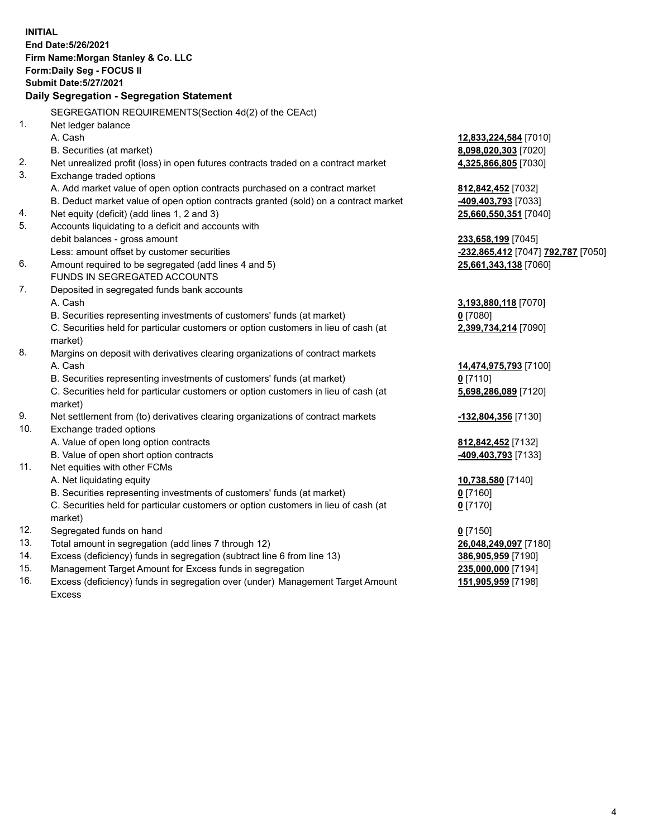**INITIAL End Date:5/26/2021 Firm Name:Morgan Stanley & Co. LLC Form:Daily Seg - FOCUS II Submit Date:5/27/2021 Daily Segregation - Segregation Statement** SEGREGATION REQUIREMENTS(Section 4d(2) of the CEAct) 1. Net ledger balance A. Cash **12,833,224,584** [7010] B. Securities (at market) **8,098,020,303** [7020] 2. Net unrealized profit (loss) in open futures contracts traded on a contract market **4,325,866,805** [7030] 3. Exchange traded options A. Add market value of open option contracts purchased on a contract market **812,842,452** [7032] B. Deduct market value of open option contracts granted (sold) on a contract market **-409,403,793** [7033] 4. Net equity (deficit) (add lines 1, 2 and 3) **25,660,550,351** [7040] 5. Accounts liquidating to a deficit and accounts with debit balances - gross amount **233,658,199** [7045] Less: amount offset by customer securities **-232,865,412** [7047] **792,787** [7050] 6. Amount required to be segregated (add lines 4 and 5) **25,661,343,138** [7060] FUNDS IN SEGREGATED ACCOUNTS 7. Deposited in segregated funds bank accounts A. Cash **3,193,880,118** [7070] B. Securities representing investments of customers' funds (at market) **0** [7080] C. Securities held for particular customers or option customers in lieu of cash (at market) **2,399,734,214** [7090] 8. Margins on deposit with derivatives clearing organizations of contract markets A. Cash **14,474,975,793** [7100] B. Securities representing investments of customers' funds (at market) **0** [7110] C. Securities held for particular customers or option customers in lieu of cash (at market) **5,698,286,089** [7120] 9. Net settlement from (to) derivatives clearing organizations of contract markets **-132,804,356** [7130] 10. Exchange traded options A. Value of open long option contracts **812,842,452** [7132] B. Value of open short option contracts **-409,403,793** [7133] 11. Net equities with other FCMs A. Net liquidating equity **10,738,580** [7140] B. Securities representing investments of customers' funds (at market) **0** [7160] C. Securities held for particular customers or option customers in lieu of cash (at market) **0** [7170] 12. Segregated funds on hand **0** [7150] 13. Total amount in segregation (add lines 7 through 12) **26,048,249,097** [7180] 14. Excess (deficiency) funds in segregation (subtract line 6 from line 13) **386,905,959** [7190] 15. Management Target Amount for Excess funds in segregation **235,000,000** [7194]

16. Excess (deficiency) funds in segregation over (under) Management Target Amount Excess

**151,905,959** [7198]